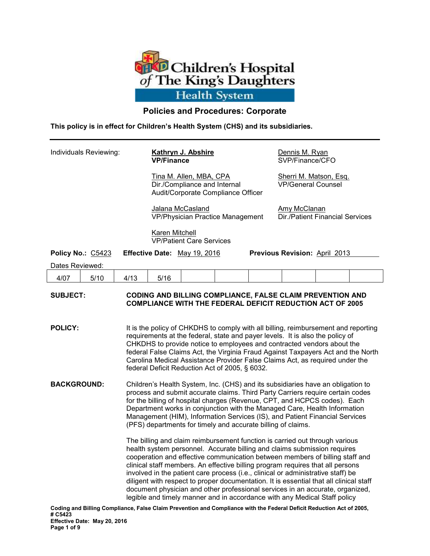

# **Policies and Procedures: Corporate**

**This policy is in effect for Children's Health System (CHS) and its subsidiaries.**

| Individuals Reviewing: |                   |                                                                                                                                                                                                                                                                                                                                                                                                                                                                            | <b>Kathryn J. Abshire</b><br><b>VP/Finance</b>                                                |                                                                                                                                                                                                                                                                                                                                                                                                                                                                                                                                                                                                                                                                       |  |  | Dennis M. Ryan<br>SVP/Finance/CFO                      |  |  |  |
|------------------------|-------------------|----------------------------------------------------------------------------------------------------------------------------------------------------------------------------------------------------------------------------------------------------------------------------------------------------------------------------------------------------------------------------------------------------------------------------------------------------------------------------|-----------------------------------------------------------------------------------------------|-----------------------------------------------------------------------------------------------------------------------------------------------------------------------------------------------------------------------------------------------------------------------------------------------------------------------------------------------------------------------------------------------------------------------------------------------------------------------------------------------------------------------------------------------------------------------------------------------------------------------------------------------------------------------|--|--|--------------------------------------------------------|--|--|--|
|                        |                   |                                                                                                                                                                                                                                                                                                                                                                                                                                                                            | Tina M. Allen, MBA, CPA<br>Dir./Compliance and Internal<br>Audit/Corporate Compliance Officer |                                                                                                                                                                                                                                                                                                                                                                                                                                                                                                                                                                                                                                                                       |  |  | Sherri M. Matson, Esq.<br><b>VP/General Counsel</b>    |  |  |  |
|                        |                   |                                                                                                                                                                                                                                                                                                                                                                                                                                                                            | Jalana McCasland<br><b>VP/Physician Practice Management</b>                                   |                                                                                                                                                                                                                                                                                                                                                                                                                                                                                                                                                                                                                                                                       |  |  | Amy McClanan<br><b>Dir./Patient Financial Services</b> |  |  |  |
|                        |                   |                                                                                                                                                                                                                                                                                                                                                                                                                                                                            | Karen Mitchell<br><b>VP/Patient Care Services</b>                                             |                                                                                                                                                                                                                                                                                                                                                                                                                                                                                                                                                                                                                                                                       |  |  |                                                        |  |  |  |
|                        | Policy No.: C5423 |                                                                                                                                                                                                                                                                                                                                                                                                                                                                            | Effective Date: May 19, 2016                                                                  |                                                                                                                                                                                                                                                                                                                                                                                                                                                                                                                                                                                                                                                                       |  |  | Previous Revision: April 2013                          |  |  |  |
| Dates Reviewed:        |                   |                                                                                                                                                                                                                                                                                                                                                                                                                                                                            |                                                                                               |                                                                                                                                                                                                                                                                                                                                                                                                                                                                                                                                                                                                                                                                       |  |  |                                                        |  |  |  |
| 4/07                   | 5/10              | 4/13                                                                                                                                                                                                                                                                                                                                                                                                                                                                       | 5/16                                                                                          |                                                                                                                                                                                                                                                                                                                                                                                                                                                                                                                                                                                                                                                                       |  |  |                                                        |  |  |  |
| <b>SUBJECT:</b>        |                   | CODING AND BILLING COMPLIANCE, FALSE CLAIM PREVENTION AND<br><b>COMPLIANCE WITH THE FEDERAL DEFICIT REDUCTION ACT OF 2005</b>                                                                                                                                                                                                                                                                                                                                              |                                                                                               |                                                                                                                                                                                                                                                                                                                                                                                                                                                                                                                                                                                                                                                                       |  |  |                                                        |  |  |  |
| <b>POLICY:</b>         |                   | It is the policy of CHKDHS to comply with all billing, reimbursement and reporting<br>requirements at the federal, state and payer levels. It is also the policy of<br>CHKDHS to provide notice to employees and contracted vendors about the<br>federal False Claims Act, the Virginia Fraud Against Taxpayers Act and the North<br>Carolina Medical Assistance Provider False Claims Act, as required under the<br>federal Deficit Reduction Act of 2005, § 6032.        |                                                                                               |                                                                                                                                                                                                                                                                                                                                                                                                                                                                                                                                                                                                                                                                       |  |  |                                                        |  |  |  |
| <b>BACKGROUND:</b>     |                   | Children's Health System, Inc. (CHS) and its subsidiaries have an obligation to<br>process and submit accurate claims. Third Party Carriers require certain codes<br>for the billing of hospital charges (Revenue, CPT, and HCPCS codes). Each<br>Department works in conjunction with the Managed Care, Health Information<br>Management (HIM), Information Services (IS), and Patient Financial Services<br>(PFS) departments for timely and accurate billing of claims. |                                                                                               |                                                                                                                                                                                                                                                                                                                                                                                                                                                                                                                                                                                                                                                                       |  |  |                                                        |  |  |  |
|                        |                   |                                                                                                                                                                                                                                                                                                                                                                                                                                                                            |                                                                                               | The billing and claim reimbursement function is carried out through various<br>health system personnel. Accurate billing and claims submission requires<br>cooperation and effective communication between members of billing staff and<br>clinical staff members. An effective billing program requires that all persons<br>involved in the patient care process (i.e., clinical or administrative staff) be<br>diligent with respect to proper documentation. It is essential that all clinical staff<br>document physician and other professional services in an accurate, organized,<br>legible and timely manner and in accordance with any Medical Staff policy |  |  |                                                        |  |  |  |

**Coding and Billing Compliance, False Claim Prevention and Compliance with the Federal Deficit Reduction Act of 2005, # C5423 Effective Date: May 20, 2016 Page 1 of 9**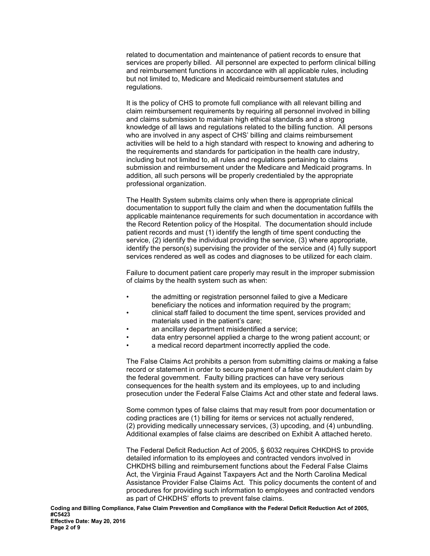related to documentation and maintenance of patient records to ensure that services are properly billed. All personnel are expected to perform clinical billing and reimbursement functions in accordance with all applicable rules, including but not limited to, Medicare and Medicaid reimbursement statutes and regulations.

It is the policy of CHS to promote full compliance with all relevant billing and claim reimbursement requirements by requiring all personnel involved in billing and claims submission to maintain high ethical standards and a strong knowledge of all laws and regulations related to the billing function. All persons who are involved in any aspect of CHS' billing and claims reimbursement activities will be held to a high standard with respect to knowing and adhering to the requirements and standards for participation in the health care industry, including but not limited to, all rules and regulations pertaining to claims submission and reimbursement under the Medicare and Medicaid programs. In addition, all such persons will be properly credentialed by the appropriate professional organization.

The Health System submits claims only when there is appropriate clinical documentation to support fully the claim and when the documentation fulfills the applicable maintenance requirements for such documentation in accordance with the Record Retention policy of the Hospital. The documentation should include patient records and must (1) identify the length of time spent conducting the service, (2) identify the individual providing the service, (3) where appropriate, identify the person(s) supervising the provider of the service and (4) fully support services rendered as well as codes and diagnoses to be utilized for each claim.

Failure to document patient care properly may result in the improper submission of claims by the health system such as when:

- the admitting or registration personnel failed to give a Medicare beneficiary the notices and information required by the program;
- clinical staff failed to document the time spent, services provided and materials used in the patient's care;
- an ancillary department misidentified a service:
- data entry personnel applied a charge to the wrong patient account; or
- a medical record department incorrectly applied the code.

The False Claims Act prohibits a person from submitting claims or making a false record or statement in order to secure payment of a false or fraudulent claim by the federal government. Faulty billing practices can have very serious consequences for the health system and its employees, up to and including prosecution under the Federal False Claims Act and other state and federal laws.

Some common types of false claims that may result from poor documentation or coding practices are (1) billing for items or services not actually rendered, (2) providing medically unnecessary services, (3) upcoding, and (4) unbundling. Additional examples of false claims are described on Exhibit A attached hereto.

The Federal Deficit Reduction Act of 2005, § 6032 requires CHKDHS to provide detailed information to its employees and contracted vendors involved in CHKDHS billing and reimbursement functions about the Federal False Claims Act, the Virginia Fraud Against Taxpayers Act and the North Carolina Medical Assistance Provider False Claims Act. This policy documents the content of and procedures for providing such information to employees and contracted vendors as part of CHKDHS' efforts to prevent false claims.

**Coding and Billing Compliance, False Claim Prevention and Compliance with the Federal Deficit Reduction Act of 2005, #C5423 Effective Date: May 20, 2016 Page 2 of 9**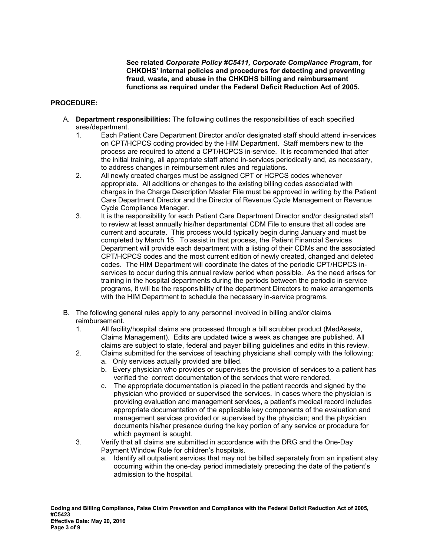**See related** *Corporate Policy #C5411, Corporate Compliance Program*, **for CHKDHS' internal policies and procedures for detecting and preventing fraud, waste, and abuse in the CHKDHS billing and reimbursement functions as required under the Federal Deficit Reduction Act of 2005.** 

### **PROCEDURE:**

- A. **Department responsibilities:** The following outlines the responsibilities of each specified area/department.
	- 1. Each Patient Care Department Director and/or designated staff should attend in-services on CPT/HCPCS coding provided by the HIM Department. Staff members new to the process are required to attend a CPT/HCPCS in-service. It is recommended that after the initial training, all appropriate staff attend in-services periodically and, as necessary, to address changes in reimbursement rules and regulations.
	- 2. All newly created charges must be assigned CPT or HCPCS codes whenever appropriate. All additions or changes to the existing billing codes associated with charges in the Charge Description Master File must be approved in writing by the Patient Care Department Director and the Director of Revenue Cycle Management or Revenue Cycle Compliance Manager.
	- 3. It is the responsibility for each Patient Care Department Director and/or designated staff to review at least annually his/her departmental CDM File to ensure that all codes are current and accurate. This process would typically begin during January and must be completed by March 15. To assist in that process, the Patient Financial Services Department will provide each department with a listing of their CDMs and the associated CPT/HCPCS codes and the most current edition of newly created, changed and deleted codes. The HIM Department will coordinate the dates of the periodic CPT/HCPCS inservices to occur during this annual review period when possible. As the need arises for training in the hospital departments during the periods between the periodic in-service programs, it will be the responsibility of the department Directors to make arrangements with the HIM Department to schedule the necessary in-service programs.
- B. The following general rules apply to any personnel involved in billing and/or claims reimbursement.
	- 1. All facility/hospital claims are processed through a bill scrubber product (MedAssets, Claims Management). Edits are updated twice a week as changes are published. All claims are subject to state, federal and payer billing guidelines and edits in this review.
	- 2. Claims submitted for the services of teaching physicians shall comply with the following:
		- a. Only services actually provided are billed.
		- b. Every physician who provides or supervises the provision of services to a patient has verified the correct documentation of the services that were rendered.
		- c. The appropriate documentation is placed in the patient records and signed by the physician who provided or supervised the services. In cases where the physician is providing evaluation and management services, a patient's medical record includes appropriate documentation of the applicable key components of the evaluation and management services provided or supervised by the physician; and the physician documents his/her presence during the key portion of any service or procedure for which payment is sought.
	- 3. Verify that all claims are submitted in accordance with the DRG and the One-Day Payment Window Rule for children's hospitals.
		- a. Identify all outpatient services that may not be billed separately from an inpatient stay occurring within the one-day period immediately preceding the date of the patient's admission to the hospital.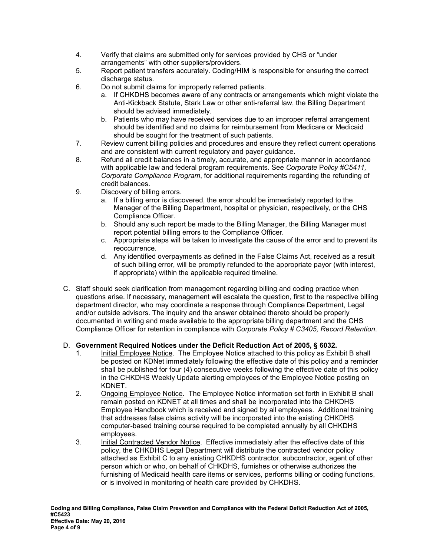- 4. Verify that claims are submitted only for services provided by CHS or "under arrangements" with other suppliers/providers.
- 5. Report patient transfers accurately. Coding/HIM is responsible for ensuring the correct discharge status.
- 6. Do not submit claims for improperly referred patients.
	- a. If CHKDHS becomes aware of any contracts or arrangements which might violate the Anti-Kickback Statute, Stark Law or other anti-referral law, the Billing Department should be advised immediately.
	- b. Patients who may have received services due to an improper referral arrangement should be identified and no claims for reimbursement from Medicare or Medicaid should be sought for the treatment of such patients.
- 7. Review current billing policies and procedures and ensure they reflect current operations and are consistent with current regulatory and payer guidance.
- 8. Refund all credit balances in a timely, accurate, and appropriate manner in accordance with applicable law and federal program requirements. See *Corporate* P*olicy #C5411, Corporate Compliance Program*, for additional requirements regarding the refunding of credit balances.
- 9. Discovery of billing errors.
	- a. If a billing error is discovered, the error should be immediately reported to the Manager of the Billing Department, hospital or physician, respectively, or the CHS Compliance Officer.
	- b. Should any such report be made to the Billing Manager, the Billing Manager must report potential billing errors to the Compliance Officer.
	- c. Appropriate steps will be taken to investigate the cause of the error and to prevent its reoccurrence.
	- d. Any identified overpayments as defined in the False Claims Act, received as a result of such billing error, will be promptly refunded to the appropriate payor (with interest, if appropriate) within the applicable required timeline.
- C. Staff should seek clarification from management regarding billing and coding practice when questions arise. If necessary, management will escalate the question, first to the respective billing department director, who may coordinate a response through Compliance Department, Legal and/or outside advisors. The inquiry and the answer obtained thereto should be properly documented in writing and made available to the appropriate billing department and the CHS Compliance Officer for retention in compliance with *Corporate Policy # C3405, Record Retention*.

## D. **Government Required Notices under the Deficit Reduction Act of 2005, § 6032.**

- 1. Initial Employee Notice. The Employee Notice attached to this policy as Exhibit B shall be posted on KDNet immediately following the effective date of this policy and a reminder shall be published for four (4) consecutive weeks following the effective date of this policy in the CHKDHS Weekly Update alerting employees of the Employee Notice posting on KDNET.
- 2. Ongoing Employee Notice. The Employee Notice information set forth in Exhibit B shall remain posted on KDNET at all times and shall be incorporated into the CHKDHS Employee Handbook which is received and signed by all employees. Additional training that addresses false claims activity will be incorporated into the existing CHKDHS computer-based training course required to be completed annually by all CHKDHS employees.
- 3. Initial Contracted Vendor Notice. Effective immediately after the effective date of this policy, the CHKDHS Legal Department will distribute the contracted vendor policy attached as Exhibit C to any existing CHKDHS contractor, subcontractor, agent of other person which or who, on behalf of CHKDHS, furnishes or otherwise authorizes the furnishing of Medicaid health care items or services, performs billing or coding functions, or is involved in monitoring of health care provided by CHKDHS.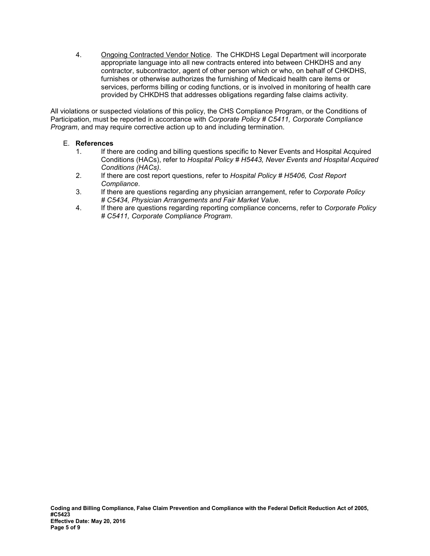4. Ongoing Contracted Vendor Notice. The CHKDHS Legal Department will incorporate appropriate language into all new contracts entered into between CHKDHS and any contractor, subcontractor, agent of other person which or who, on behalf of CHKDHS, furnishes or otherwise authorizes the furnishing of Medicaid health care items or services, performs billing or coding functions, or is involved in monitoring of health care provided by CHKDHS that addresses obligations regarding false claims activity.

All violations or suspected violations of this policy, the CHS Compliance Program, or the Conditions of Participation, must be reported in accordance with *Corporate Policy # C5411, Corporate Compliance Program*, and may require corrective action up to and including termination.

## E. **References**

- 1. If there are coding and billing questions specific to Never Events and Hospital Acquired Conditions (HACs), refer to *Hospital Policy # H5443, Never Events and Hospital Acquired Conditions (HACs).*
- 2. If there are cost report questions, refer to *Hospital Policy # H5406, Cost Report Compliance*.
- 3. If there are questions regarding any physician arrangement, refer to *Corporate Policy # C5434, Physician Arrangements and Fair Market Value*.
- 4. If there are questions regarding reporting compliance concerns, refer to *Corporate Policy # C5411, Corporate Compliance Program*.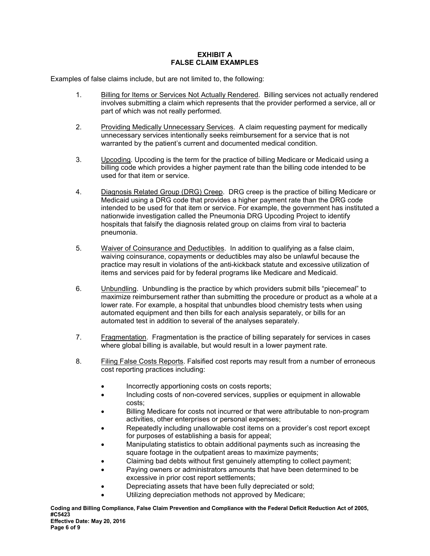## **EXHIBIT A FALSE CLAIM EXAMPLES**

Examples of false claims include, but are not limited to, the following:

- 1. Billing for Items or Services Not Actually Rendered. Billing services not actually rendered involves submitting a claim which represents that the provider performed a service, all or part of which was not really performed.
- 2. Providing Medically Unnecessary Services. A claim requesting payment for medically unnecessary services intentionally seeks reimbursement for a service that is not warranted by the patient's current and documented medical condition.
- 3. Upcoding. Upcoding is the term for the practice of billing Medicare or Medicaid using a billing code which provides a higher payment rate than the billing code intended to be used for that item or service.
- 4. Diagnosis Related Group (DRG) Creep. DRG creep is the practice of billing Medicare or Medicaid using a DRG code that provides a higher payment rate than the DRG code intended to be used for that item or service. For example, the government has instituted a nationwide investigation called the Pneumonia DRG Upcoding Project to identify hospitals that falsify the diagnosis related group on claims from viral to bacteria pneumonia.
- 5. Waiver of Coinsurance and Deductibles. In addition to qualifying as a false claim, waiving coinsurance, copayments or deductibles may also be unlawful because the practice may result in violations of the anti-kickback statute and excessive utilization of items and services paid for by federal programs like Medicare and Medicaid.
- 6. Unbundling. Unbundling is the practice by which providers submit bills "piecemeal" to maximize reimbursement rather than submitting the procedure or product as a whole at a lower rate. For example, a hospital that unbundles blood chemistry tests when using automated equipment and then bills for each analysis separately, or bills for an automated test in addition to several of the analyses separately.
- 7. Fragmentation. Fragmentation is the practice of billing separately for services in cases where global billing is available, but would result in a lower payment rate.
- 8. Filing False Costs Reports. Falsified cost reports may result from a number of erroneous cost reporting practices including:
	- Incorrectly apportioning costs on costs reports;
	- Including costs of non-covered services, supplies or equipment in allowable costs;
	- Billing Medicare for costs not incurred or that were attributable to non-program activities, other enterprises or personal expenses;
	- Repeatedly including unallowable cost items on a provider's cost report except for purposes of establishing a basis for appeal;
	- Manipulating statistics to obtain additional payments such as increasing the square footage in the outpatient areas to maximize payments;
	- Claiming bad debts without first genuinely attempting to collect payment;
	- Paying owners or administrators amounts that have been determined to be excessive in prior cost report settlements;
	- Depreciating assets that have been fully depreciated or sold;
	- Utilizing depreciation methods not approved by Medicare;

**Coding and Billing Compliance, False Claim Prevention and Compliance with the Federal Deficit Reduction Act of 2005, #C5423 Effective Date: May 20, 2016**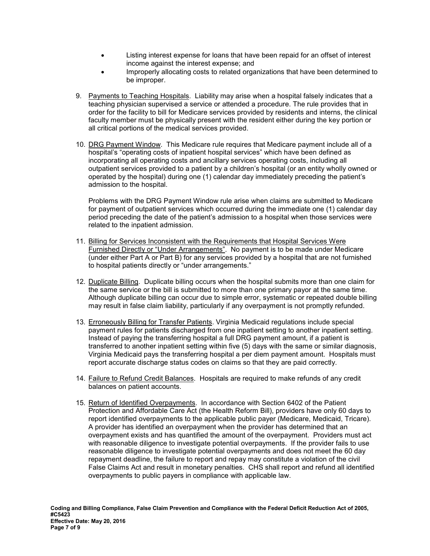- Listing interest expense for loans that have been repaid for an offset of interest income against the interest expense; and
- Improperly allocating costs to related organizations that have been determined to be improper.
- 9. Payments to Teaching Hospitals. Liability may arise when a hospital falsely indicates that a teaching physician supervised a service or attended a procedure. The rule provides that in order for the facility to bill for Medicare services provided by residents and interns, the clinical faculty member must be physically present with the resident either during the key portion or all critical portions of the medical services provided.
- 10. DRG Payment Window. This Medicare rule requires that Medicare payment include all of a hospital's "operating costs of inpatient hospital services" which have been defined as incorporating all operating costs and ancillary services operating costs, including all outpatient services provided to a patient by a children's hospital (or an entity wholly owned or operated by the hospital) during one (1) calendar day immediately preceding the patient's admission to the hospital.

Problems with the DRG Payment Window rule arise when claims are submitted to Medicare for payment of outpatient services which occurred during the immediate one (1) calendar day period preceding the date of the patient's admission to a hospital when those services were related to the inpatient admission.

- 11. Billing for Services Inconsistent with the Requirements that Hospital Services Were Furnished Directly or "Under Arrangements". No payment is to be made under Medicare (under either Part A or Part B) for any services provided by a hospital that are not furnished to hospital patients directly or "under arrangements."
- 12. Duplicate Billing. Duplicate billing occurs when the hospital submits more than one claim for the same service or the bill is submitted to more than one primary payor at the same time. Although duplicate billing can occur due to simple error, systematic or repeated double billing may result in false claim liability, particularly if any overpayment is not promptly refunded.
- 13. Erroneously Billing for Transfer Patients. Virginia Medicaid regulations include special payment rules for patients discharged from one inpatient setting to another inpatient setting. Instead of paying the transferring hospital a full DRG payment amount, if a patient is transferred to another inpatient setting within five (5) days with the same or similar diagnosis, Virginia Medicaid pays the transferring hospital a per diem payment amount. Hospitals must report accurate discharge status codes on claims so that they are paid correctly.
- 14. Failure to Refund Credit Balances. Hospitals are required to make refunds of any credit balances on patient accounts.
- 15. Return of Identified Overpayments. In accordance with Section 6402 of the Patient Protection and Affordable Care Act (the Health Reform Bill), providers have only 60 days to report identified overpayments to the applicable public payer (Medicare, Medicaid, Tricare). A provider has identified an overpayment when the provider has determined that an overpayment exists and has quantified the amount of the overpayment. Providers must act with reasonable diligence to investigate potential overpayments. If the provider fails to use reasonable diligence to investigate potential overpayments and does not meet the 60 day repayment deadline, the failure to report and repay may constitute a violation of the civil False Claims Act and result in monetary penalties. CHS shall report and refund all identified overpayments to public payers in compliance with applicable law.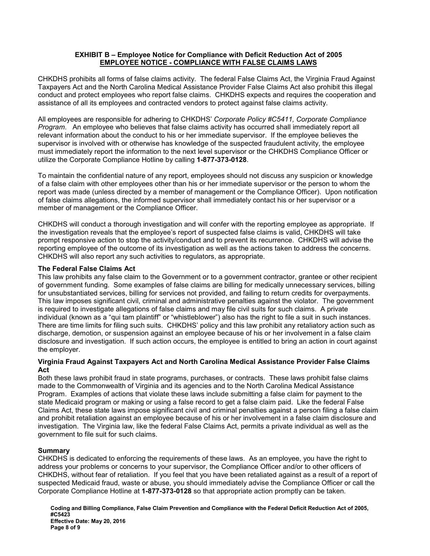### **EXHIBIT B – Employee Notice for Compliance with Deficit Reduction Act of 2005 EMPLOYEE NOTICE - COMPLIANCE WITH FALSE CLAIMS LAWS**

CHKDHS prohibits all forms of false claims activity. The federal False Claims Act, the Virginia Fraud Against Taxpayers Act and the North Carolina Medical Assistance Provider False Claims Act also prohibit this illegal conduct and protect employees who report false claims. CHKDHS expects and requires the cooperation and assistance of all its employees and contracted vendors to protect against false claims activity.

All employees are responsible for adhering to CHKDHS' *Corporate Policy #C5411, Corporate Compliance Program*. An employee who believes that false claims activity has occurred shall immediately report all relevant information about the conduct to his or her immediate supervisor. If the employee believes the supervisor is involved with or otherwise has knowledge of the suspected fraudulent activity, the employee must immediately report the information to the next level supervisor or the CHKDHS Compliance Officer or utilize the Corporate Compliance Hotline by calling **1-877-373-0128**.

To maintain the confidential nature of any report, employees should not discuss any suspicion or knowledge of a false claim with other employees other than his or her immediate supervisor or the person to whom the report was made (unless directed by a member of management or the Compliance Officer). Upon notification of false claims allegations, the informed supervisor shall immediately contact his or her supervisor or a member of management or the Compliance Officer.

CHKDHS will conduct a thorough investigation and will confer with the reporting employee as appropriate. If the investigation reveals that the employee's report of suspected false claims is valid, CHKDHS will take prompt responsive action to stop the activity/conduct and to prevent its recurrence. CHKDHS will advise the reporting employee of the outcome of its investigation as well as the actions taken to address the concerns. CHKDHS will also report any such activities to regulators, as appropriate.

## **The Federal False Claims Act**

This law prohibits any false claim to the Government or to a government contractor, grantee or other recipient of government funding. Some examples of false claims are billing for medically unnecessary services, billing for unsubstantiated services, billing for services not provided, and failing to return credits for overpayments. This law imposes significant civil, criminal and administrative penalties against the violator. The government is required to investigate allegations of false claims and may file civil suits for such claims. A private individual (known as a "qui tam plaintiff" or "whistleblower") also has the right to file a suit in such instances. There are time limits for filing such suits. CHKDHS' policy and this law prohibit any retaliatory action such as discharge, demotion, or suspension against an employee because of his or her involvement in a false claim disclosure and investigation. If such action occurs, the employee is entitled to bring an action in court against the employer.

### **Virginia Fraud Against Taxpayers Act and North Carolina Medical Assistance Provider False Claims Act**

Both these laws prohibit fraud in state programs, purchases, or contracts. These laws prohibit false claims made to the Commonwealth of Virginia and its agencies and to the North Carolina Medical Assistance Program. Examples of actions that violate these laws include submitting a false claim for payment to the state Medicaid program or making or using a false record to get a false claim paid. Like the federal False Claims Act, these state laws impose significant civil and criminal penalties against a person filing a false claim and prohibit retaliation against an employee because of his or her involvement in a false claim disclosure and investigation. The Virginia law, like the federal False Claims Act, permits a private individual as well as the government to file suit for such claims.

## **Summary**

CHKDHS is dedicated to enforcing the requirements of these laws. As an employee, you have the right to address your problems or concerns to your supervisor, the Compliance Officer and/or to other officers of CHKDHS, without fear of retaliation. If you feel that you have been retaliated against as a result of a report of suspected Medicaid fraud, waste or abuse, you should immediately advise the Compliance Officer or call the Corporate Compliance Hotline at **1-877-373-0128** so that appropriate action promptly can be taken.

**Coding and Billing Compliance, False Claim Prevention and Compliance with the Federal Deficit Reduction Act of 2005, #C5423 Effective Date: May 20, 2016 Page 8 of 9**